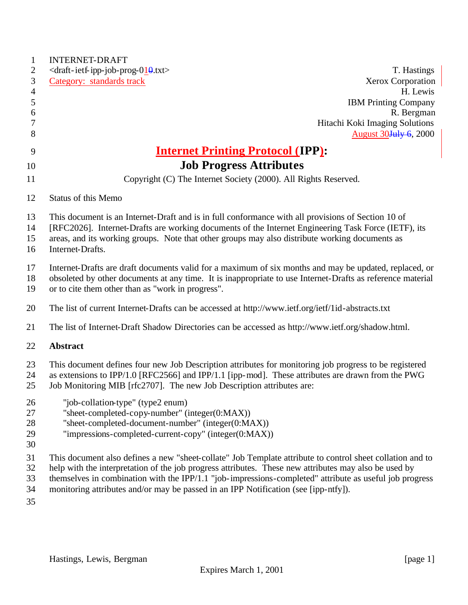| $\mathbf{1}$   | <b>INTERNET-DRAFT</b>                                                                                                                                                                                            |
|----------------|------------------------------------------------------------------------------------------------------------------------------------------------------------------------------------------------------------------|
| 2              | $\langle$ draft-ietf-ipp-job-prog-010.txt><br>T. Hastings                                                                                                                                                        |
| 3              | <b>Xerox Corporation</b><br>Category: standards track                                                                                                                                                            |
| $\overline{4}$ | H. Lewis                                                                                                                                                                                                         |
| $\mathfrak s$  | <b>IBM Printing Company</b>                                                                                                                                                                                      |
| 6<br>7         | R. Bergman<br>Hitachi Koki Imaging Solutions                                                                                                                                                                     |
| 8              | August 30 <del>July 6</del> , 2000                                                                                                                                                                               |
|                |                                                                                                                                                                                                                  |
| 9              | <b>Internet Printing Protocol (IPP):</b>                                                                                                                                                                         |
| 10             | <b>Job Progress Attributes</b>                                                                                                                                                                                   |
| 11             | Copyright (C) The Internet Society (2000). All Rights Reserved.                                                                                                                                                  |
| 12             | Status of this Memo                                                                                                                                                                                              |
| 13             | This document is an Internet-Draft and is in full conformance with all provisions of Section 10 of                                                                                                               |
| 14             | [RFC2026]. Internet-Drafts are working documents of the Internet Engineering Task Force (IETF), its                                                                                                              |
| 15             | areas, and its working groups. Note that other groups may also distribute working documents as                                                                                                                   |
| 16             | Internet-Drafts.                                                                                                                                                                                                 |
| 17             | Internet-Drafts are draft documents valid for a maximum of six months and may be updated, replaced, or                                                                                                           |
| 18             | obsoleted by other documents at any time. It is inappropriate to use Internet-Drafts as reference material                                                                                                       |
| 19             | or to cite them other than as "work in progress".                                                                                                                                                                |
| 20             | The list of current Internet-Drafts can be accessed at http://www.ietf.org/ietf/1id-abstracts.txt                                                                                                                |
| 21             | The list of Internet-Draft Shadow Directories can be accessed as http://www.ietf.org/shadow.html.                                                                                                                |
| 22             | <b>Abstract</b>                                                                                                                                                                                                  |
| 23             | This document defines four new Job Description attributes for monitoring job progress to be registered                                                                                                           |
| 24             | as extensions to IPP/1.0 [RFC2566] and IPP/1.1 [ipp-mod]. These attributes are drawn from the PWG                                                                                                                |
| 25             | Job Monitoring MIB [rfc2707]. The new Job Description attributes are:                                                                                                                                            |
| 26             | "job-collation-type" (type2 enum)                                                                                                                                                                                |
| 27             | "sheet-completed-copy-number" (integer(0:MAX))                                                                                                                                                                   |
| 28             | "sheet-completed-document-number" (integer(0:MAX))                                                                                                                                                               |
| 29             | "impressions-completed-current-copy" (integer(0:MAX))                                                                                                                                                            |
| 30             |                                                                                                                                                                                                                  |
| 31             | This document also defines a new "sheet-collate" Job Template attribute to control sheet collation and to                                                                                                        |
| 32<br>33       | help with the interpretation of the job progress attributes. These new attributes may also be used by<br>themselves in combination with the IPP/1.1 "job-impressions-completed" attribute as useful job progress |
| 34             | monitoring attributes and/or may be passed in an IPP Notification (see [ipp-ntfy]).                                                                                                                              |
|                |                                                                                                                                                                                                                  |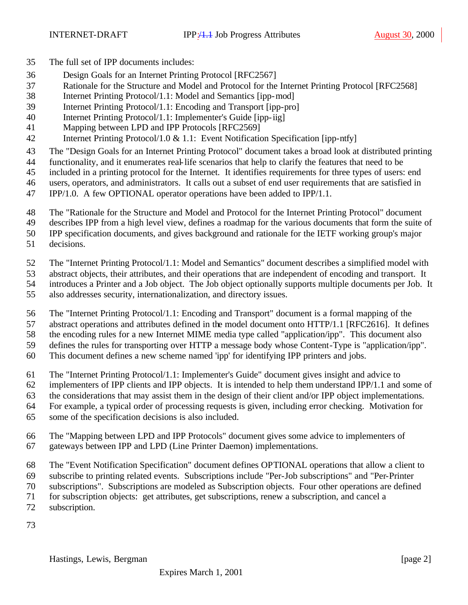- The full set of IPP documents includes:
- Design Goals for an Internet Printing Protocol [RFC2567]
- Rationale for the Structure and Model and Protocol for the Internet Printing Protocol [RFC2568]
- Internet Printing Protocol/1.1: Model and Semantics [ipp-mod]
- Internet Printing Protocol/1.1: Encoding and Transport [ipp-pro]
- Internet Printing Protocol/1.1: Implementer's Guide [ipp-iig]
- Mapping between LPD and IPP Protocols [RFC2569]
- Internet Printing Protocol/1.0 & 1.1: Event Notification Specification [ipp-ntfy]
- The "Design Goals for an Internet Printing Protocol" document takes a broad look at distributed printing
- functionality, and it enumerates real-life scenarios that help to clarify the features that need to be
- included in a printing protocol for the Internet. It identifies requirements for three types of users: end
- users, operators, and administrators. It calls out a subset of end user requirements that are satisfied in
- IPP/1.0. A few OPTIONAL operator operations have been added to IPP/1.1.
- The "Rationale for the Structure and Model and Protocol for the Internet Printing Protocol" document
- describes IPP from a high level view, defines a roadmap for the various documents that form the suite of
- IPP specification documents, and gives background and rationale for the IETF working group's major
- decisions.
- The "Internet Printing Protocol/1.1: Model and Semantics" document describes a simplified model with
- abstract objects, their attributes, and their operations that are independent of encoding and transport. It
- introduces a Printer and a Job object. The Job object optionally supports multiple documents per Job. It
- also addresses security, internationalization, and directory issues.
- The "Internet Printing Protocol/1.1: Encoding and Transport" document is a formal mapping of the
- abstract operations and attributes defined in the model document onto HTTP/1.1 [RFC2616]. It defines
- the encoding rules for a new Internet MIME media type called "application/ipp". This document also
- defines the rules for transporting over HTTP a message body whose Content-Type is "application/ipp".
- This document defines a new scheme named 'ipp' for identifying IPP printers and jobs.
- The "Internet Printing Protocol/1.1: Implementer's Guide" document gives insight and advice to
- implementers of IPP clients and IPP objects. It is intended to help them understand IPP/1.1 and some of
- the considerations that may assist them in the design of their client and/or IPP object implementations.
- For example, a typical order of processing requests is given, including error checking. Motivation for
- some of the specification decisions is also included.
- The "Mapping between LPD and IPP Protocols" document gives some advice to implementers of gateways between IPP and LPD (Line Printer Daemon) implementations.
- The "Event Notification Specification" document defines OPTIONAL operations that allow a client to
- subscribe to printing related events. Subscriptions include "Per-Job subscriptions" and "Per-Printer
- subscriptions". Subscriptions are modeled as Subscription objects. Four other operations are defined
- for subscription objects: get attributes, get subscriptions, renew a subscription, and cancel a
- subscription.
-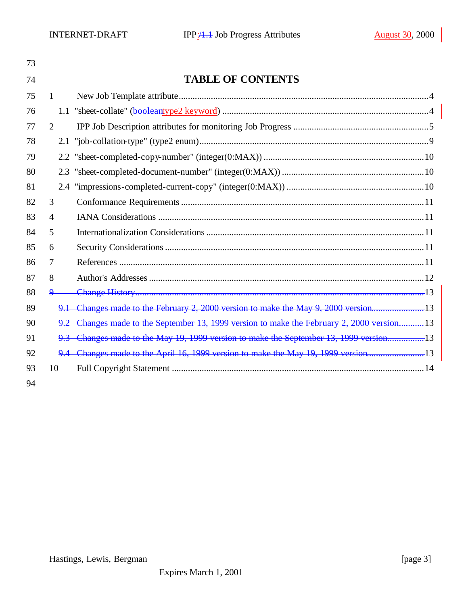| 73 |                |                                                                                       |
|----|----------------|---------------------------------------------------------------------------------------|
| 74 |                | <b>TABLE OF CONTENTS</b>                                                              |
| 75 | $\mathbf{1}$   |                                                                                       |
| 76 |                |                                                                                       |
| 77 | $\overline{2}$ |                                                                                       |
| 78 | 2.1            |                                                                                       |
| 79 | 2.2            |                                                                                       |
| 80 | 2.3            |                                                                                       |
| 81 | 2.4            |                                                                                       |
| 82 | 3              |                                                                                       |
| 83 | $\overline{4}$ |                                                                                       |
| 84 | 5              |                                                                                       |
| 85 | 6              |                                                                                       |
| 86 | 7              |                                                                                       |
| 87 | 8              |                                                                                       |
| 88 | $\mathbf{Q}$   |                                                                                       |
| 89 |                | 9.1 Changes made to the February 2, 2000 version to make the May 9, 2000 version13    |
| 90 |                | Changes made to the September 13, 1999 version to make the February 2, 2000 version13 |
| 91 |                | 9.3 Changes made to the May 19, 1999 version to make the September 13, 1999 version13 |
| 92 |                | 9.4 Changes made to the April 16, 1999 version to make the May 19, 1999 version13     |
| 93 | 10             |                                                                                       |
| 94 |                |                                                                                       |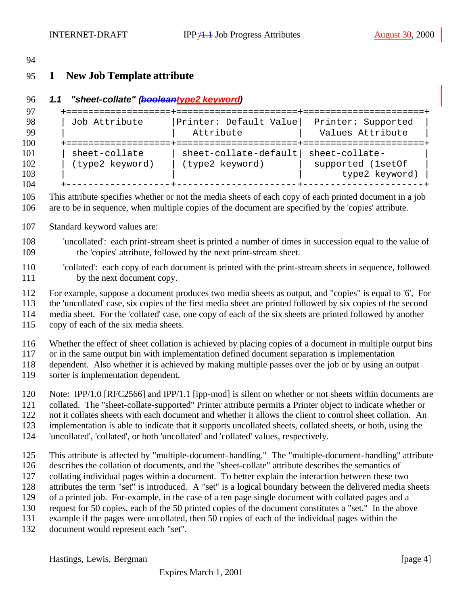### **1 New Job Template attribute**

```
96 1.1 "sheet-collate" (booleantype2 keyword)
```

```
97 +===================+======================+======================+
      | Job Attribute | Printer: Default Value| Printer: Supported
99 | | Attribute | Values Attribute
100 +===================+======================+======================+
101 | sheet-collate | sheet-collate-default| sheet-collate-<br>102 | (type2 keyword) | (type2 keyword) | supported (1se
102 | (type2 keyword) | (type2 keyword) | | supported (1setOf |
103 | | | type2 keyword) |
104 +-------------------+----------------------+----------------------+
```
 This attribute specifies whether or not the media sheets of each copy of each printed document in a job are to be in sequence, when multiple copies of the document are specified by the 'copies' attribute.

- Standard keyword values are:
- 'uncollated': each print-stream sheet is printed a number of times in succession equal to the value of the 'copies' attribute, followed by the next print-stream sheet.

For example, suppose a document produces two media sheets as output, and "copies" is equal to '6', For

the 'uncollated' case, six copies of the first media sheet are printed followed by six copies of the second

media sheet. For the 'collated' case, one copy of each of the six sheets are printed followed by another

copy of each of the six media sheets.

Whether the effect of sheet collation is achieved by placing copies of a document in multiple output bins

or in the same output bin with implementation defined document separation is implementation

- dependent. Also whether it is achieved by making multiple passes over the job or by using an output
- sorter is implementation dependent.
- Note: IPP/1.0 [RFC2566] and IPP/1.1 [ipp-mod] is silent on whether or not sheets within documents are collated. The "sheet-collate-supported" Printer attribute permits a Printer object to indicate whether or
- not it collates sheets with each document and whether it allows the client to control sheet collation. An
- implementation is able to indicate that it supports uncollated sheets, collated sheets, or both, using the
- 'uncollated', 'collated', or both 'uncollated' and 'collated' values, respectively.
- This attribute is affected by "multiple-document-handling." The "multiple-document-handling" attribute describes the collation of documents, and the "sheet-collate" attribute describes the semantics of collating individual pages within a document. To better explain the interaction between these two attributes the term "set" is introduced. A "set" is a logical boundary between the delivered media sheets of a printed job. For-example, in the case of a ten page single document with collated pages and a request for 50 copies, each of the 50 printed copies of the document constitutes a "set." In the above 131 example if the pages were uncollated, then 50 copies of each of the individual pages within the
- document would represent each "set".

 'collated': each copy of each document is printed with the print-stream sheets in sequence, followed 111 by the next document copy.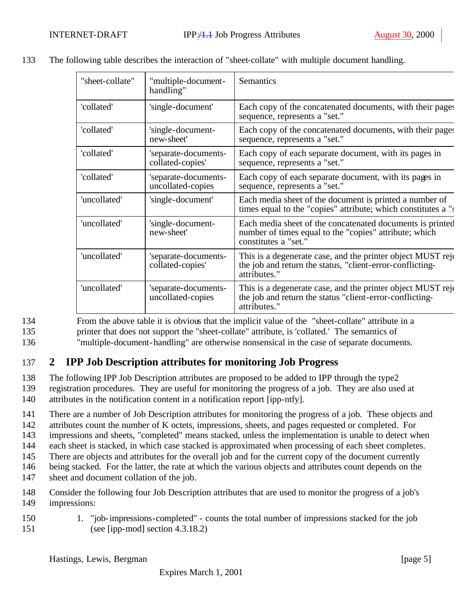| "sheet-collate" | "multiple-document-<br>handling"          | Semantics                                                                                                                                   |
|-----------------|-------------------------------------------|---------------------------------------------------------------------------------------------------------------------------------------------|
| 'collated'      | 'single-document'                         | Each copy of the concatenated documents, with their pages<br>sequence, represents a "set."                                                  |
| 'collated'      | 'single-document-<br>new-sheet'           | Each copy of the concatenated documents, with their pages<br>sequence, represents a "set."                                                  |
| 'collated'      | 'separate-documents-<br>collated-copies'  | Each copy of each separate document, with its pages in<br>sequence, represents a "set."                                                     |
| 'collated'      | 'separate-documents-<br>uncollated-copies | Each copy of each separate document, with its pages in<br>sequence, represents a "set."                                                     |
| 'uncollated'    | 'single-document'                         | Each media sheet of the document is printed a number of<br>times equal to the "copies" attribute; which constitutes a "s                    |
| 'uncollated'    | 'single-document-<br>new-sheet'           | Each media sheet of the concatenated documents is printed<br>number of times equal to the "copies" attribute; which<br>constitutes a "set." |
| 'uncollated'    | 'separate-documents-<br>collated-copies'  | This is a degenerate case, and the printer object MUST reje<br>the job and return the status, "client-error-conflicting-<br>attributes."    |
| 'uncollated'    | 'separate-documents-<br>uncollated-copies | This is a degenerate case, and the printer object MUST reje<br>the job and return the status "client-error-conflicting-<br>attributes."     |

133 The following table describes the interaction of "sheet-collate" with multiple document handling.

134 From the above table it is obvious that the implicit value of the "sheet-collate" attribute in a 135 printer that does not support the "sheet-collate" attribute, is 'collated.' The semantics of 136 "multiple-document-handling" are otherwise nonsensical in the case of separate documents.

## 137 **2 IPP Job Description attributes for monitoring Job Progress**

138 The following IPP Job Description attributes are proposed to be added to IPP through the type2

139 registration procedures. They are useful for monitoring the progress of a job. They are also used at

140 attributes in the notification content in a notification report [ipp-ntfy].

141 There are a number of Job Description attributes for monitoring the progress of a job. These objects and

142 attributes count the number of K octets, impressions, sheets, and pages requested or completed. For

143 impressions and sheets, "completed" means stacked, unless the implementation is unable to detect when

144 each sheet is stacked, in which case stacked is approximated when processing of each sheet completes.

145 There are objects and attributes for the overall job and for the current copy of the document currently

146 being stacked. For the latter, the rate at which the various objects and attributes count depends on the

- 147 sheet and document collation of the job.
- 148 Consider the following four Job Description attributes that are used to monitor the progress of a job's 149 impressions:
- 150 1. "job-impressions-completed" counts the total number of impressions stacked for the job 151 (see [ipp-mod] section 4.3.18.2)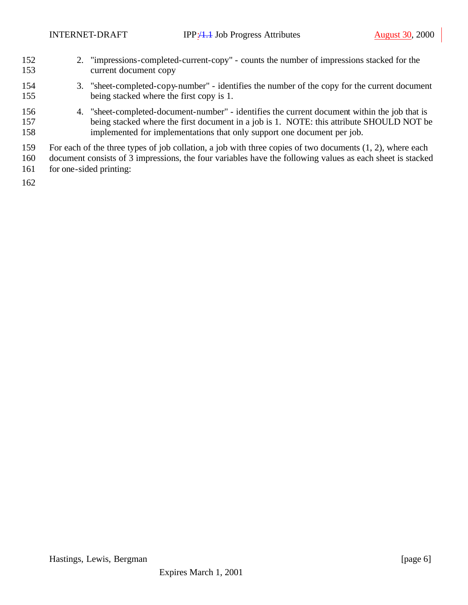- 2. "impressions-completed-current-copy" counts the number of impressions stacked for the current document copy
- 3. "sheet-completed-copy-number" identifies the number of the copy for the current document being stacked where the first copy is 1.
- 4. "sheet-completed-document-number" identifies the current document within the job that is 157 being stacked where the first document in a job is 1. NOTE: this attribute SHOULD NOT be implemented for implementations that only support one document per job.
- For each of the three types of job collation, a job with three copies of two documents (1, 2), where each
- document consists of 3 impressions, the four variables have the following values as each sheet is stacked
- for one-sided printing: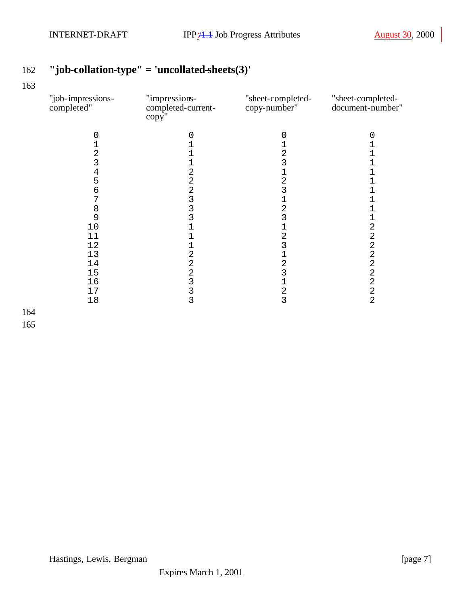# **"job-collation-type" = 'uncollated-sheets(3)'**

| "job-impressions-<br>completed" | "impressions-<br>completed-current-<br>copy'' | "sheet-completed-<br>copy-number" | "sheet-completed-<br>document-number" |
|---------------------------------|-----------------------------------------------|-----------------------------------|---------------------------------------|
| 0                               | 0                                             | 0                                 | 0                                     |
|                                 |                                               |                                   |                                       |
| $\overline{\mathbf{c}}$         |                                               | 2                                 |                                       |
| 3                               |                                               | 3                                 |                                       |
|                                 | $\overline{c}$                                | $\mathbf{1}$                      |                                       |
| $\frac{4}{5}$                   |                                               | $\overline{\mathbf{c}}$           |                                       |
| б                               |                                               | 3                                 |                                       |
| 7                               |                                               |                                   |                                       |
| 8                               | 2 2 3 3 3                                     | 2                                 |                                       |
| 9                               |                                               | 3                                 |                                       |
| 10                              |                                               | 1                                 | 2                                     |
| 11                              |                                               | $\overline{c}$                    | $\overline{a}$                        |
| 12                              |                                               | 3                                 | $\overline{a}$                        |
| 13                              | $\overline{c}$                                |                                   | $\overline{a}$                        |
| 14                              | $\overline{a}$                                | $\overline{\mathbf{c}}$           | $\overline{a}$                        |
| 15                              | $\overline{a}$                                | 3                                 | $\overline{2}$                        |
| 16                              | $\frac{3}{3}$                                 | 1                                 | $\overline{c}$                        |
| 17                              |                                               | $\frac{2}{3}$                     | $\frac{2}{2}$                         |
| 18                              | 3                                             |                                   |                                       |
|                                 |                                               |                                   |                                       |
|                                 |                                               |                                   |                                       |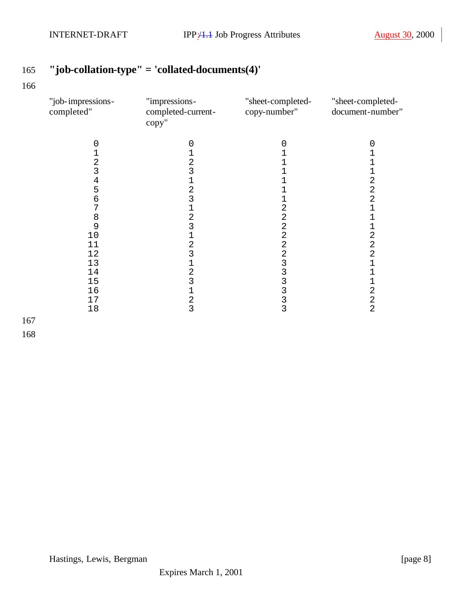# **"job-collation-type" = 'collated-documents(4)'**

| "job-impressions-<br>completed" | "impressions-<br>completed-current-<br>copy" | "sheet-completed-<br>copy-number" | "sheet-completed-<br>document-number" |
|---------------------------------|----------------------------------------------|-----------------------------------|---------------------------------------|
|                                 |                                              |                                   |                                       |
|                                 |                                              |                                   |                                       |
| 2                               | $\overline{c}$                               |                                   |                                       |
| 3                               | 3                                            |                                   | 1                                     |
| 4                               |                                              |                                   | 2                                     |
| 5                               | 2                                            |                                   | $\overline{c}$                        |
| 6                               | 3                                            |                                   | $\overline{a}$                        |
|                                 |                                              | 2                                 |                                       |
| 8                               | $\overline{a}$                               | 2                                 |                                       |
| 9                               | 3                                            | 2                                 | 1                                     |
| $10$                            |                                              | $\overline{2}$                    | $\overline{a}$                        |
| 11                              | $\overline{c}$                               | $\overline{2}$                    | $\overline{2}$                        |
| 12                              | 3                                            | 2                                 | $\overline{a}$                        |
| 13                              |                                              | 3                                 | 1                                     |
| 14                              | $\overline{2}$                               | 3                                 |                                       |
| 15                              | 3                                            | 3                                 | $\mathbf 1$                           |
| 16                              |                                              | 3                                 | $\overline{a}$                        |
| $17$                            | $\frac{2}{3}$                                | $\frac{3}{3}$                     | $\frac{2}{2}$                         |
| 18                              |                                              |                                   |                                       |
|                                 |                                              |                                   |                                       |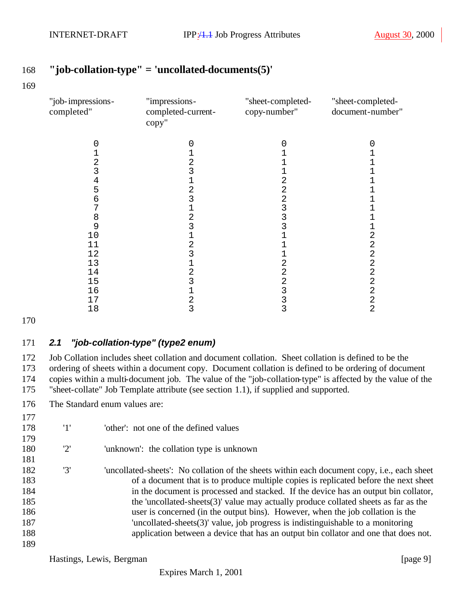### **"job-collation-type" = 'uncollated-documents(5)'**

| "job-impressions-<br>completed" | "impressions-<br>completed-current-<br>copy" | "sheet-completed-<br>copy-number" | "sheet-completed-<br>document-number" |
|---------------------------------|----------------------------------------------|-----------------------------------|---------------------------------------|
|                                 |                                              |                                   |                                       |
|                                 |                                              |                                   |                                       |
| 2                               | $\mathbf{c}$                                 |                                   |                                       |
| 3                               | 3                                            |                                   |                                       |
| 4                               |                                              |                                   |                                       |
| 5                               | 2                                            | 2                                 |                                       |
| 6                               |                                              |                                   |                                       |
|                                 |                                              |                                   |                                       |
| 8                               | 2                                            |                                   |                                       |
| 9                               | 3                                            |                                   |                                       |
| 10                              |                                              |                                   | 2                                     |
| 11                              |                                              |                                   | 2                                     |
| 12                              | 3                                            |                                   | 2                                     |
| 13                              |                                              |                                   | 2                                     |
| 14                              | 2                                            |                                   | 2                                     |
| 15                              |                                              |                                   | 2                                     |
| 16                              |                                              |                                   | $\overline{2}$                        |
| 17                              | 2                                            |                                   | 2                                     |
| 18                              | 3                                            | 3                                 | 2                                     |

#### *2.1 "job-collation-type" (type2 enum)*

 Job Collation includes sheet collation and document collation. Sheet collation is defined to be the ordering of sheets within a document copy. Document collation is defined to be ordering of document copies within a multi-document job. The value of the "job-collation-type" is affected by the value of the "sheet-collate" Job Template attribute (see section 1.1), if supplied and supported.

The Standard enum values are:

| 177 |     |                                                                                                     |
|-----|-----|-----------------------------------------------------------------------------------------------------|
| 178 | '1' | 'other': not one of the defined values                                                              |
| 179 |     |                                                                                                     |
| 180 | '2' | 'unknown': the collation type is unknown                                                            |
| 181 |     |                                                                                                     |
| 182 | '3' | 'uncollated-sheets': No collation of the sheets within each document copy, <i>i.e.</i> , each sheet |
| 183 |     | of a document that is to produce multiple copies is replicated before the next sheet                |
| 184 |     | in the document is processed and stacked. If the device has an output bin collator,                 |
| 185 |     | the 'uncollated-sheets $(3)$ ' value may actually produce collated sheets as far as the             |
| 186 |     | user is concerned (in the output bins). However, when the job collation is the                      |
| 187 |     | 'uncollated-sheets $(3)$ ' value, job progress is indistinguishable to a monitoring                 |
| 188 |     | application between a device that has an output bin collator and one that does not.                 |
| 189 |     |                                                                                                     |

Hastings, Lewis, Bergman [page 9]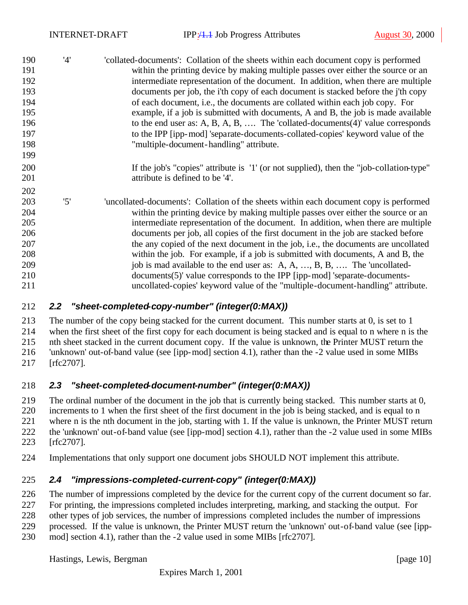| 190 | '4' | collated-documents': Collation of the sheets within each document copy is performed     |
|-----|-----|-----------------------------------------------------------------------------------------|
| 191 |     | within the printing device by making multiple passes over either the source or an       |
| 192 |     | intermediate representation of the document. In addition, when there are multiple       |
| 193 |     | documents per job, the i'th copy of each document is stacked before the j'th copy       |
| 194 |     | of each document, i.e., the documents are collated within each job copy. For            |
| 195 |     | example, if a job is submitted with documents, A and B, the job is made available       |
| 196 |     | to the end user as: A, B, A, B,  The 'collated-documents $(4)$ ' value corresponds      |
| 197 |     | to the IPP [ipp-mod] 'separate-documents-collated-copies' keyword value of the          |
| 198 |     | "multiple-document-handling" attribute.                                                 |
| 199 |     |                                                                                         |
| 200 |     | If the job's "copies" attribute is '1' (or not supplied), then the "job-collation-type" |
| 201 |     | attribute is defined to be '4'.                                                         |
| 202 |     |                                                                                         |
| 203 | '5' | 'uncollated-documents': Collation of the sheets within each document copy is performed  |
| 204 |     | within the printing device by making multiple passes over either the source or an       |
| 205 |     | intermediate representation of the document. In addition, when there are multiple       |
| 206 |     | documents per job, all copies of the first document in the job are stacked before       |
| 207 |     | the any copied of the next document in the job, i.e., the documents are uncollated      |
| 208 |     | within the job. For example, if a job is submitted with documents, A and B, the         |
| 209 |     | job is mad available to the end user as: A, A, , B, B,  The 'uncollated-                |
| 210 |     | documents(5)' value corresponds to the IPP [ipp-mod] 'separate-documents-               |
| 211 |     | uncollated-copies' keyword value of the "multiple-document-handling" attribute.         |
|     |     |                                                                                         |

#### *2.2 "sheet-completed-copy-number" (integer(0:MAX))*

 The number of the copy being stacked for the current document. This number starts at 0, is set to 1 when the first sheet of the first copy for each document is being stacked and is equal to n where n is the nth sheet stacked in the current document copy. If the value is unknown, the Printer MUST return the 'unknown' out-of-band value (see [ipp-mod] section 4.1), rather than the -2 value used in some MIBs [rfc2707].

#### *2.3 "sheet-completed-document-number" (integer(0:MAX))*

 The ordinal number of the document in the job that is currently being stacked. This number starts at 0, increments to 1 when the first sheet of the first document in the job is being stacked, and is equal to n where n is the nth document in the job, starting with 1. If the value is unknown, the Printer MUST return 222 the 'unknown' out-of-band value (see [ipp-mod] section 4.1), rather than the -2 value used in some MIBs [rfc2707].

Implementations that only support one document jobs SHOULD NOT implement this attribute.

#### *2.4 "impressions-completed-current-copy" (integer(0:MAX))*

The number of impressions completed by the device for the current copy of the current document so far.

For printing, the impressions completed includes interpreting, marking, and stacking the output. For

other types of job services, the number of impressions completed includes the number of impressions

processed. If the value is unknown, the Printer MUST return the 'unknown' out-of-band value (see [ipp-

mod] section 4.1), rather than the -2 value used in some MIBs [rfc2707].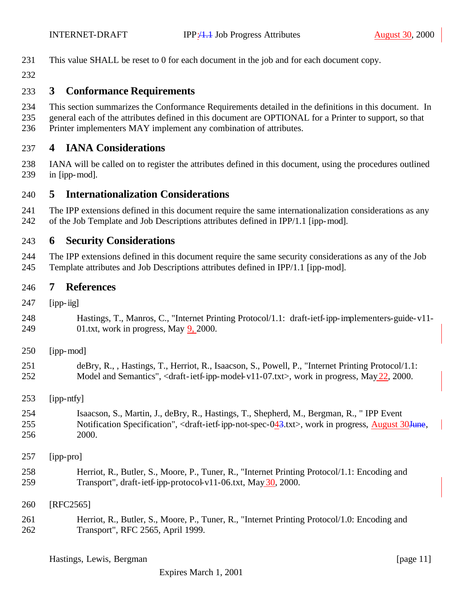- This value SHALL be reset to 0 for each document in the job and for each document copy.
- 

#### **3 Conformance Requirements**

- This section summarizes the Conformance Requirements detailed in the definitions in this document. In
- general each of the attributes defined in this document are OPTIONAL for a Printer to support, so that
- Printer implementers MAY implement any combination of attributes.

#### **4 IANA Considerations**

 IANA will be called on to register the attributes defined in this document, using the procedures outlined in [ipp-mod].

#### **5 Internationalization Considerations**

 The IPP extensions defined in this document require the same internationalization considerations as any of the Job Template and Job Descriptions attributes defined in IPP/1.1 [ipp-mod].

#### **6 Security Considerations**

 The IPP extensions defined in this document require the same security considerations as any of the Job Template attributes and Job Descriptions attributes defined in IPP/1.1 [ipp-mod].

#### **7 References**

- [ipp-iig]
- Hastings, T., Manros, C., "Internet Printing Protocol/1.1: draft-ietf-ipp-implementers-guide-v11- 01.txt, work in progress, May 9, 2000.
- [ipp-mod]
- deBry, R., , Hastings, T., Herriot, R., Isaacson, S., Powell, P., "Internet Printing Protocol/1.1: 252 Model and Semantics", <draft-ietf-ipp-model-v11-07.txt>, work in progress, May 22, 2000.
- [ipp-ntfy]
- Isaacson, S., Martin, J., deBry, R., Hastings, T., Shepherd, M., Bergman, R., " IPP Event 255 Notification Specification", <draft-ietf-ipp-not-spec-043.txt>, work in progress, August 30June, 2000.
- [ipp-pro]
- Herriot, R., Butler, S., Moore, P., Tuner, R., "Internet Printing Protocol/1.1: Encoding and 259 Transport", draft-ietf-ipp-protocol-v11-06.txt, May 30, 2000.
- [RFC2565]
- Herriot, R., Butler, S., Moore, P., Tuner, R., "Internet Printing Protocol/1.0: Encoding and Transport", RFC 2565, April 1999.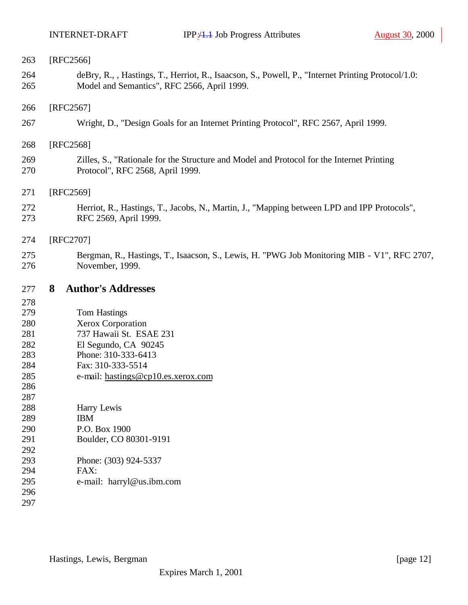| 263        | $[RFC2566]$                                                                                                                                       |
|------------|---------------------------------------------------------------------------------------------------------------------------------------------------|
| 264<br>265 | deBry, R., , Hastings, T., Herriot, R., Isaacson, S., Powell, P., "Internet Printing Protocol/1.0:<br>Model and Semantics", RFC 2566, April 1999. |
| 266        | $[RFC2567]$                                                                                                                                       |
| 267        | Wright, D., "Design Goals for an Internet Printing Protocol", RFC 2567, April 1999.                                                               |
| 268        | [RFC2568]                                                                                                                                         |
| 269<br>270 | Zilles, S., "Rationale for the Structure and Model and Protocol for the Internet Printing<br>Protocol", RFC 2568, April 1999.                     |
| 271        | [RFC2569]                                                                                                                                         |
| 272<br>273 | Herriot, R., Hastings, T., Jacobs, N., Martin, J., "Mapping between LPD and IPP Protocols",<br>RFC 2569, April 1999.                              |
| 274        | [RFC2707]                                                                                                                                         |
| 275<br>276 | Bergman, R., Hastings, T., Isaacson, S., Lewis, H. "PWG Job Monitoring MIB - V1", RFC 2707,<br>November, 1999.                                    |
| 277        | <b>Author's Addresses</b><br>8                                                                                                                    |
| 278        |                                                                                                                                                   |
| 279        | <b>Tom Hastings</b>                                                                                                                               |
|            |                                                                                                                                                   |
| 280        | Xerox Corporation                                                                                                                                 |
| 281        | 737 Hawaii St. ESAE 231                                                                                                                           |
| 282        | El Segundo, CA 90245                                                                                                                              |
| 283        | Phone: 310-333-6413                                                                                                                               |
| 284        | Fax: 310-333-5514                                                                                                                                 |
| 285        | e-mail: hastings@cp10.es.xerox.com                                                                                                                |
| 286        |                                                                                                                                                   |
| 287        |                                                                                                                                                   |
| 288        | Harry Lewis                                                                                                                                       |
| 289        | <b>IBM</b><br>P.O. Box 1900                                                                                                                       |
| 290<br>291 | Boulder, CO 80301-9191                                                                                                                            |
| 292        |                                                                                                                                                   |
| 293        | Phone: (303) 924-5337                                                                                                                             |
| 294        | FAX:                                                                                                                                              |
| 295        | e-mail: harryl@us.ibm.com                                                                                                                         |
| 296<br>297 |                                                                                                                                                   |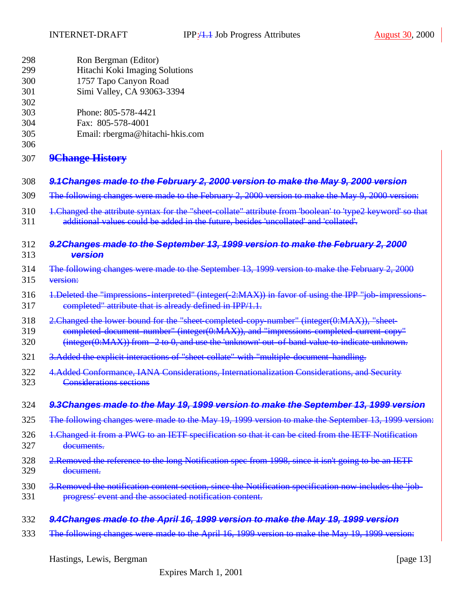| 298                      | Ron Bergman (Editor)                                                                                        |
|--------------------------|-------------------------------------------------------------------------------------------------------------|
| 299                      | Hitachi Koki Imaging Solutions                                                                              |
| 300                      | 1757 Tapo Canyon Road                                                                                       |
| 301                      | Simi Valley, CA 93063-3394                                                                                  |
| 302<br>303<br>304<br>305 | Phone: 805-578-4421<br>Fax: 805-578-4001<br>Email: rbergma@hitachi-hkis.com                                 |
| 306<br>307               | <b>9Change History</b>                                                                                      |
| 308                      | 9.1 Changes made to the February 2, 2000 version to make the May 9, 2000 version                            |
| 309                      | The following changes were made to the February 2, 2000 version to make the May 9, 2000 version:            |
| 310                      | 1. Changed the attribute syntax for the "sheet-collate" attribute from 'boolean' to 'type2 keyword' so that |
| 311                      | additional values could be added in the future, besides 'uncollated' and 'collated'.                        |
| 312                      | 9.2 Changes made to the September 13, 1999 version to make the February 2, 2000                             |
| 313                      | version                                                                                                     |
| 314                      | The following changes were made to the September 13, 1999 version to make the February 2, 2000              |
| 315                      | version:                                                                                                    |
| 316                      | 1. Deleted the "impressions-interpreted" (integer(-2:MAX)) in favor of using the IPP "job-impressions-      |
| 317                      | completed" attribute that is already defined in IPP/1.1.                                                    |
| 318                      | 2. Changed the lower bound for the "sheet completed copy number" (integer(0:MAX)), "sheet-                  |
| 319                      | completed document number" (integer(0:MAX)), and "impressions completed current copy"                       |
| 320                      | $(integer(0:MAX))$ from $-2$ to 0, and use the 'unknown' out-of-band value to indicate unknown.             |
| 321                      | 3. Added the explicit interactions of "sheet collate" with "multiple-document-handling.                     |
| 322                      | 4. Added Conformance, IANA Considerations, Internationalization Considerations, and Security                |
| 323                      | <b>Considerations sections</b>                                                                              |
| 324                      | 9.3Changes made to the May 19, 1999 version to make the September 13, 1999 version                          |
| 325                      | The following changes were made to the May 19, 1999 version to make the September 13, 1999 version:         |
| 326                      | 1. Changed it from a PWG to an IETF specification so that it can be cited from the IETF Notification        |
| 327                      | documents.                                                                                                  |
| 328                      | 2. Removed the reference to the long Notification spec from 1998, since it isn't going to be an IETF        |
| 329                      | document.                                                                                                   |
| 330                      | 3. Removed the notification content section, since the Notification specification now includes the 'job-    |
| 331                      | progress' event and the associated notification content.                                                    |
| 332                      | 9.4Changes made to the April 16, 1999 version to make the May 19, 1999 version                              |
| 333                      | The following changes were made to the April 16, 1999 version to make the May 19, 1999 version:             |

Hastings, Lewis, Bergman [page 13]